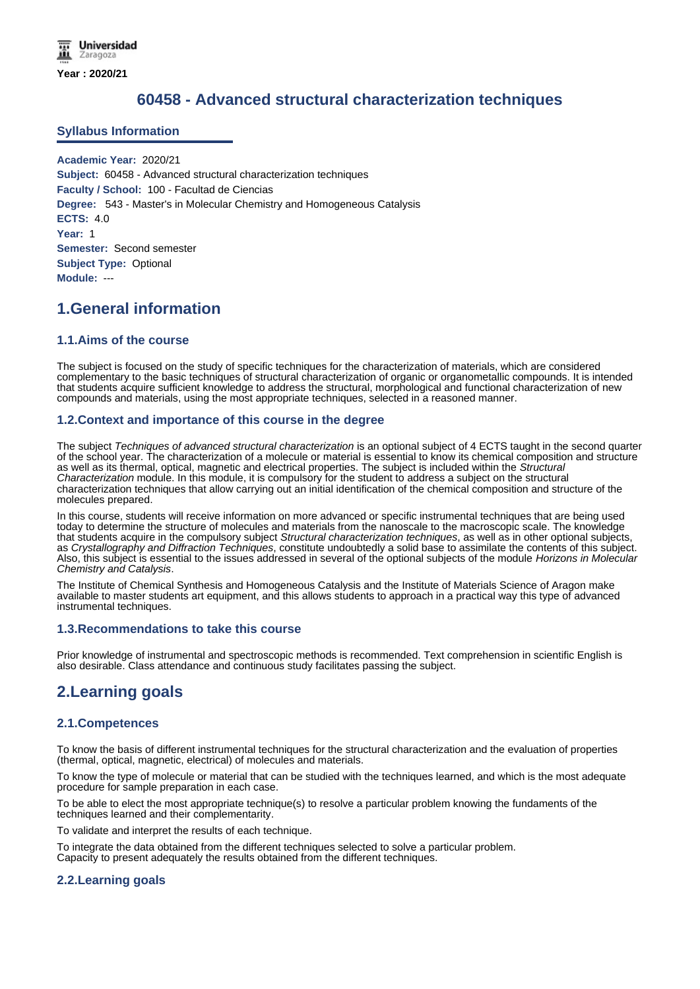# **60458 - Advanced structural characterization techniques**

### **Syllabus Information**

**Academic Year:** 2020/21 **Subject:** 60458 - Advanced structural characterization techniques **Faculty / School:** 100 - Facultad de Ciencias **Degree:** 543 - Master's in Molecular Chemistry and Homogeneous Catalysis **ECTS:** 4.0 **Year:** 1 **Semester:** Second semester **Subject Type:** Optional **Module:** ---

# **1.General information**

## **1.1.Aims of the course**

The subject is focused on the study of specific techniques for the characterization of materials, which are considered complementary to the basic techniques of structural characterization of organic or organometallic compounds. It is intended that students acquire sufficient knowledge to address the structural, morphological and functional characterization of new compounds and materials, using the most appropriate techniques, selected in a reasoned manner.

### **1.2.Context and importance of this course in the degree**

The subject *Techniques of advanced structural characterization* is an optional subject of 4 ECTS taught in the second quarter of the school year. The characterization of a molecule or material is essential to know its chemical composition and structure as well as its thermal, optical, magnetic and electrical properties. The subject is included within the *Structural Characterization* module. In this module, it is compulsory for the student to address a subject on the structural characterization techniques that allow carrying out an initial identification of the chemical composition and structure of the molecules prepared.

In this course, students will receive information on more advanced or specific instrumental techniques that are being used today to determine the structure of molecules and materials from the nanoscale to the macroscopic scale. The knowledge that students acquire in the compulsory subject *Structural characterization techniques*, as well as in other optional subjects, as *Crystallography and Diffraction Techniques*, constitute undoubtedly a solid base to assimilate the contents of this subject. Also, this subject is essential to the issues addressed in several of the optional subjects of the module *Horizons in Molecular Chemistry and Catalysis*.

The Institute of Chemical Synthesis and Homogeneous Catalysis and the Institute of Materials Science of Aragon make available to master students art equipment, and this allows students to approach in a practical way this type of advanced instrumental techniques.

### **1.3.Recommendations to take this course**

Prior knowledge of instrumental and spectroscopic methods is recommended. Text comprehension in scientific English is also desirable. Class attendance and continuous study facilitates passing the subject.

# **2.Learning goals**

### **2.1.Competences**

To know the basis of different instrumental techniques for the structural characterization and the evaluation of properties (thermal, optical, magnetic, electrical) of molecules and materials.

To know the type of molecule or material that can be studied with the techniques learned, and which is the most adequate procedure for sample preparation in each case.

To be able to elect the most appropriate technique(s) to resolve a particular problem knowing the fundaments of the techniques learned and their complementarity.

To validate and interpret the results of each technique.

To integrate the data obtained from the different techniques selected to solve a particular problem. Capacity to present adequately the results obtained from the different techniques.

## **2.2.Learning goals**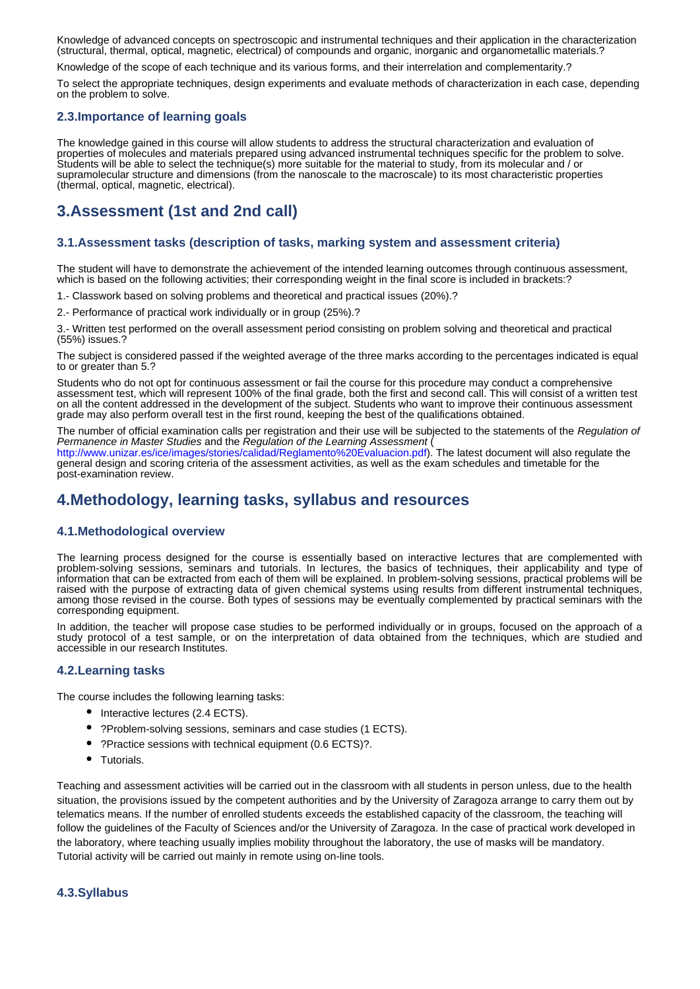Knowledge of advanced concepts on spectroscopic and instrumental techniques and their application in the characterization (structural, thermal, optical, magnetic, electrical) of compounds and organic, inorganic and organometallic materials.?

Knowledge of the scope of each technique and its various forms, and their interrelation and complementarity.?

To select the appropriate techniques, design experiments and evaluate methods of characterization in each case, depending on the problem to solve.

### **2.3.Importance of learning goals**

The knowledge gained in this course will allow students to address the structural characterization and evaluation of properties of molecules and materials prepared using advanced instrumental techniques specific for the problem to solve. Students will be able to select the technique(s) more suitable for the material to study, from its molecular and / or supramolecular structure and dimensions (from the nanoscale to the macroscale) to its most characteristic properties (thermal, optical, magnetic, electrical).

# **3.Assessment (1st and 2nd call)**

### **3.1.Assessment tasks (description of tasks, marking system and assessment criteria)**

The student will have to demonstrate the achievement of the intended learning outcomes through continuous assessment, which is based on the following activities; their corresponding weight in the final score is included in brackets:?

1.- Classwork based on solving problems and theoretical and practical issues (20%).?

2.- Performance of practical work individually or in group (25%).?

3.- Written test performed on the overall assessment period consisting on problem solving and theoretical and practical (55%) issues.?

The subject is considered passed if the weighted average of the three marks according to the percentages indicated is equal to or greater than 5.?

Students who do not opt for continuous assessment or fail the course for this procedure may conduct a comprehensive assessment test, which will represent 100% of the final grade, both the first and second call. This will consist of a written test on all the content addressed in the development of the subject. Students who want to improve their continuous assessment grade may also perform overall test in the first round, keeping the best of the qualifications obtained.

The number of official examination calls per registration and their use will be subjected to the statements of the *Regulation of Permanence in Master Studies* and the *Regulation of the Learning Assessment* (

http://www.unizar.es/ice/images/stories/calidad/Reglamento%20Evaluacion.pdf). The latest document will also regulate the general design and scoring criteria of the assessment activities, as well as the exam schedules and timetable for the post-examination review.

# **4.Methodology, learning tasks, syllabus and resources**

## **4.1.Methodological overview**

The learning process designed for the course is essentially based on interactive lectures that are complemented with problem-solving sessions, seminars and tutorials. In lectures, the basics of techniques, their applicability and type of information that can be extracted from each of them will be explained. In problem-solving sessions, practical problems will be raised with the purpose of extracting data of given chemical systems using results from different instrumental techniques, among those revised in the course. Both types of sessions may be eventually complemented by practical seminars with the corresponding equipment.

In addition, the teacher will propose case studies to be performed individually or in groups, focused on the approach of a study protocol of a test sample, or on the interpretation of data obtained from the techniques, which are studied and accessible in our research Institutes.

### **4.2.Learning tasks**

The course includes the following learning tasks:

- Interactive lectures (2.4 ECTS).
- ?Problem-solving sessions, seminars and case studies (1 ECTS).
- ?Practice sessions with technical equipment (0.6 ECTS)?.
- Tutorials.

Teaching and assessment activities will be carried out in the classroom with all students in person unless, due to the health situation, the provisions issued by the competent authorities and by the University of Zaragoza arrange to carry them out by telematics means. If the number of enrolled students exceeds the established capacity of the classroom, the teaching will follow the guidelines of the Faculty of Sciences and/or the University of Zaragoza. In the case of practical work developed in the laboratory, where teaching usually implies mobility throughout the laboratory, the use of masks will be mandatory. Tutorial activity will be carried out mainly in remote using on-line tools.

### **4.3.Syllabus**